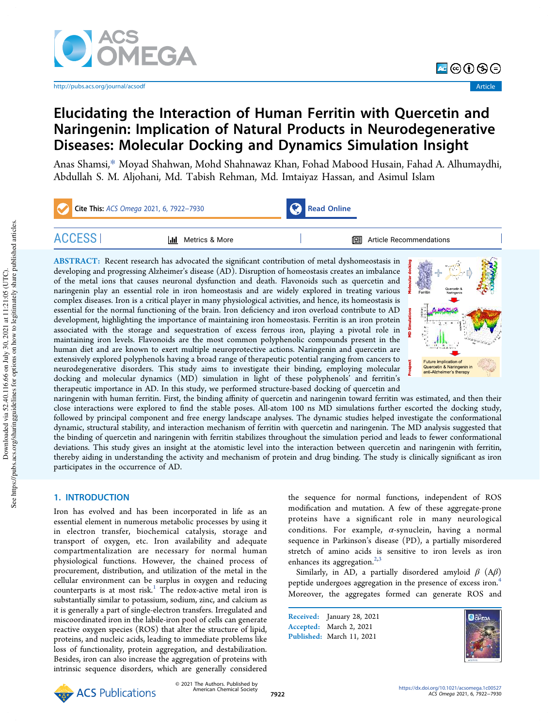

http://pubs.acs.org/journal/acsodf Article



# Elucidating the Interaction of Human Ferritin with Quercetin and Naringenin: Implication of Natural Products in Neurodegenerative Diseases: Molecular Docking and Dynamics Simulation Insight

Anas Shamsi,\* Moyad Shahwan, Mohd Shahnawaz Khan, Fohad Mabood Husain, Fahad A. Alhumaydhi, Abdullah S. M. Aljohani, Md. Tabish Rehman, Md. Imtaiyaz Hassan, and Asimul Islam

Cite This: ACS Omega 2021, 6, 7922–7930 Read Online ACCESS | III Metrics & More | THE Article Recommendations

ABSTRACT: Recent research has advocated the significant contribution of metal dyshomeostasis in developing and progressing Alzheimer's disease (AD). Disruption of homeostasis creates an imbalance of the metal ions that causes neuronal dysfunction and death. Flavonoids such as quercetin and naringenin play an essential role in iron homeostasis and are widely explored in treating various complex diseases. Iron is a critical player in many physiological activities, and hence, its homeostasis is essential for the normal functioning of the brain. Iron deficiency and iron overload contribute to AD development, highlighting the importance of maintaining iron homeostasis. Ferritin is an iron protein associated with the storage and sequestration of excess ferrous iron, playing a pivotal role in maintaining iron levels. Flavonoids are the most common polyphenolic compounds present in the human diet and are known to exert multiple neuroprotective actions. Naringenin and quercetin are extensively explored polyphenols having a broad range of therapeutic potential ranging from cancers to neurodegenerative disorders. This study aims to investigate their binding, employing molecular docking and molecular dynamics (MD) simulation in light of these polyphenols' and ferritin's therapeutic importance in AD. In this study, we performed structure-based docking of quercetin and



naringenin with human ferritin. First, the binding affinity of quercetin and naringenin toward ferritin was estimated, and then their close interactions were explored to find the stable poses. All-atom 100 ns MD simulations further escorted the docking study, followed by principal component and free energy landscape analyses. The dynamic studies helped investigate the conformational dynamic, structural stability, and interaction mechanism of ferritin with quercetin and naringenin. The MD analysis suggested that the binding of quercetin and naringenin with ferritin stabilizes throughout the simulation period and leads to fewer conformational deviations. This study gives an insight at the atomistic level into the interaction between quercetin and naringenin with ferritin, thereby aiding in understanding the activity and mechanism of protein and drug binding. The study is clinically significant as iron participates in the occurrence of AD.

# 1. INTRODUCTION

Iron has evolved and has been incorporated in life as an essential element in numerous metabolic processes by using it in electron transfer, biochemical catalysis, storage and transport of oxygen, etc. Iron availability and adequate compartmentalization are necessary for normal human physiological functions. However, the chained process of procurement, distribution, and utilization of the metal in the cellular environment can be surplus in oxygen and reducing counterparts is at most risk.<sup>1</sup> The redox-active metal iron is substantially similar to potassium, sodium, zinc, and calcium as it is generally a part of single-electron transfers. Irregulated and miscoordinated iron in the labile-iron pool of cells can generate reactive oxygen species (ROS) that alter the structure of lipid, proteins, and nucleic acids, leading to immediate problems like loss of functionality, protein aggregation, and destabilization. Besides, iron can also increase the aggregation of proteins with intrinsic sequence disorders, which are generally considered

the sequence for normal functions, independent of ROS modification and mutation. A few of these aggregate-prone proteins have a significant role in many neurological conditions. For example,  $\alpha$ -synuclein, having a normal sequence in Parkinson's disease (PD), a partially misordered stretch of amino acids is sensitive to iron levels as iron enhances its aggregation.<sup>2,3</sup>

Similarly, in AD, a partially disordered amyloid  $\beta$  (A $\beta$ ) peptide undergoes aggregation in the presence of excess iron.<sup>4</sup> Moreover, the aggregates formed can generate ROS and

Received: January 28, 2021 Accepted: March 2, 2021 Published: March 11, 2021



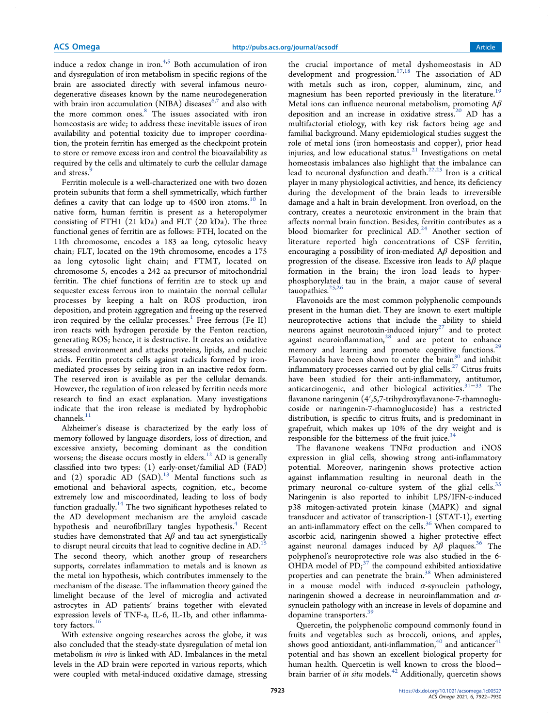induce a redox change in iron. $4,5$  Both accumulation of iron and dysregulation of iron metabolism in specific regions of the brain are associated directly with several infamous neurodegenerative diseases known by the name neurodegeneration with brain iron accumulation (NIBA) diseases $^{6,7}$  and also with the more common ones.<sup>8</sup> The issues associated with iron homeostasis are wide; to address these inevitable issues of iron availability and potential toxicity due to improper coordination, the protein ferritin has emerged as the checkpoint protein to store or remove excess iron and control the bioavailability as required by the cells and ultimately to curb the cellular damage and stress.<sup>9</sup>

Ferritin molecule is a well-characterized one with two dozen protein subunits that form a shell symmetrically, which further defines a cavity that can lodge up to 4500 iron atoms.<sup>10</sup> In native form, human ferritin is present as a heteropolymer consisting of FTH1 (21 kDa) and FLT (20 kDa). The three functional genes of ferritin are as follows: FTH, located on the 11th chromosome, encodes a 183 aa long, cytosolic heavy chain; FLT, located on the 19th chromosome, encodes a 175 aa long cytosolic light chain; and FTMT, located on chromosome 5, encodes a 242 aa precursor of mitochondrial ferritin. The chief functions of ferritin are to stock up and sequester excess ferrous iron to maintain the normal cellular processes by keeping a halt on ROS production, iron deposition, and protein aggregation and freeing up the reserved iron required by the cellular processes.<sup>1</sup> Free ferrous (Fe II) iron reacts with hydrogen peroxide by the Fenton reaction, generating ROS; hence, it is destructive. It creates an oxidative stressed environment and attacks proteins, lipids, and nucleic acids. Ferritin protects cells against radicals formed by ironmediated processes by seizing iron in an inactive redox form. The reserved iron is available as per the cellular demands. However, the regulation of iron released by ferritin needs more research to find an exact explanation. Many investigations indicate that the iron release is mediated by hydrophobic  $channels.$ <sup>11</sup>

Alzheimer's disease is characterized by the early loss of memory followed by language disorders, loss of direction, and excessive anxiety, becoming dominant as the condition worsens; the disease occurs mostly in elders.<sup>12</sup> AD is generally classified into two types: (1) early-onset/familial AD (FAD) and (2) sporadic  $AD$  (SAD).<sup>13</sup> Mental functions such as emotional and behavioral aspects, cognition, etc., become extremely low and miscoordinated, leading to loss of body function gradually.<sup>14</sup> The two significant hypotheses related to the AD development mechanism are the amyloid cascade hypothesis and neurofibrillary tangles hypothesis.<sup>4</sup> Recent studies have demonstrated that  $A\beta$  and tau act synergistically to disrupt neural circuits that lead to cognitive decline in AD.<sup>15</sup> The second theory, which another group of researchers supports, correlates inflammation to metals and is known as the metal ion hypothesis, which contributes immensely to the mechanism of the disease. The inflammation theory gained the limelight because of the level of microglia and activated astrocytes in AD patients' brains together with elevated expression levels of TNF-a, IL-6, IL-1b, and other inflammatory factors.<sup>16</sup>

With extensive ongoing researches across the globe, it was also concluded that the steady-state dysregulation of metal ion metabolism *in vivo* is linked with AD. Imbalances in the metal levels in the AD brain were reported in various reports, which were coupled with metal-induced oxidative damage, stressing

the crucial importance of metal dyshomeostasis in AD development and progression.<sup>17,18</sup> The association of AD with metals such as iron, copper, aluminum, zinc, and magnesium has been reported previously in the literature.<sup>19</sup> Metal ions can influence neuronal metabolism, promoting  $A\beta$ deposition and an increase in oxidative stress.<sup>20</sup> AD has a multifactorial etiology, with key risk factors being age and familial background. Many epidemiological studies suggest the role of metal ions (iron homeostasis and copper), prior head injuries, and low educational status.<sup>21</sup> Investigations on metal homeostasis imbalances also highlight that the imbalance can lead to neuronal dysfunction and death.22,23 Iron is a critical player in many physiological activities, and hence, its deficiency during the development of the brain leads to irreversible damage and a halt in brain development. Iron overload, on the contrary, creates a neurotoxic environment in the brain that affects normal brain function. Besides, ferritin contributes as a blood biomarker for preclinical AD.<sup>24</sup> Another section of literature reported high concentrations of CSF ferritin, encouraging a possibility of iron-mediated  $A\beta$  deposition and progression of the disease. Excessive iron leads to  $A\beta$  plaque formation in the brain; the iron load leads to hyperphosphorylated tau in the brain, a major cause of several tauopathies.<sup>25,26</sup>

Flavonoids are the most common polyphenolic compounds present in the human diet. They are known to exert multiple neuroprotective actions that include the ability to shield neurons against neurotoxin-induced injury<sup>27</sup> and to protect against neuroinflammation, $28$  and are potent to enhance memory and learning and promote cognitive functions.<sup>29</sup> Flavonoids have been shown to enter the brain $30$  and inhibit inflammatory processes carried out by glial cells.<sup>27</sup> Citrus fruits have been studied for their anti-inflammatory, antitumor, anticarcinogenic, and other biological activities.31−<sup>33</sup> The flavanone naringenin (4′,5,7-trihydroxyflavanone-7-rhamnoglucoside or naringenin-7-rhamnoglucoside) has a restricted distribution, is specific to citrus fruits, and is predominant in grapefruit, which makes up 10% of the dry weight and is responsible for the bitterness of the fruit juice. $34$ 

The flavanone weakens  $TNF\alpha$  production and iNOS expression in glial cells, showing strong anti-inflammatory potential. Moreover, naringenin shows protective action against inflammation resulting in neuronal death in the primary neuronal co-culture system of the glial cells.<sup>35</sup> Naringenin is also reported to inhibit LPS/IFN-c-induced p38 mitogen-activated protein kinase (MAPK) and signal transducer and activator of transcription-1 (STAT-1), exerting an anti-inflammatory effect on the cells.<sup>36</sup> When compared to ascorbic acid, naringenin showed a higher protective effect against neuronal damages induced by  $A\beta$  plaques.<sup>36</sup> The polyphenol's neuroprotective role was also studied in the 6- OHDA model of  $PD$ ;<sup>37</sup> the compound exhibited antioxidative properties and can penetrate the brain.<sup>38</sup> When administered in a mouse model with induced  $\alpha$ -synuclein pathology, naringenin showed a decrease in neuroinflammation and  $\alpha$ synuclein pathology with an increase in levels of dopamine and dopamine transporters.<sup>39</sup>

Quercetin, the polyphenolic compound commonly found in fruits and vegetables such as broccoli, onions, and apples, shows good antioxidant, anti-inflammation, $40$  and anticancer $41$ potential and has shown an excellent biological property for human health. Quercetin is well known to cross the blood− brain barrier of *in situ* models.<sup>42</sup> Additionally, quercetin shows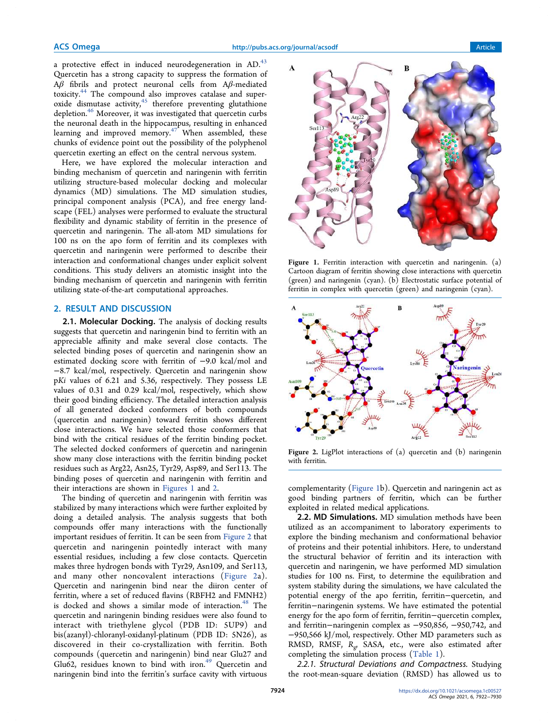a protective effect in induced neurodegeneration in AD.<sup>43</sup> Quercetin has a strong capacity to suppress the formation of Aβ fibrils and protect neuronal cells from Aβ-mediated toxicity.<sup>44</sup> The compound also improves catalase and superoxide dismutase activity, $45$  therefore preventing glutathione depletion.<sup>46</sup> Moreover, it was investigated that quercetin curbs the neuronal death in the hippocampus, resulting in enhanced learning and improved memory.<sup>47</sup> When assembled, these chunks of evidence point out the possibility of the polyphenol quercetin exerting an effect on the central nervous system.

Here, we have explored the molecular interaction and binding mechanism of quercetin and naringenin with ferritin utilizing structure-based molecular docking and molecular dynamics (MD) simulations. The MD simulation studies, principal component analysis (PCA), and free energy landscape (FEL) analyses were performed to evaluate the structural flexibility and dynamic stability of ferritin in the presence of quercetin and naringenin. The all-atom MD simulations for 100 ns on the apo form of ferritin and its complexes with quercetin and naringenin were performed to describe their interaction and conformational changes under explicit solvent conditions. This study delivers an atomistic insight into the binding mechanism of quercetin and naringenin with ferritin utilizing state-of-the-art computational approaches.

## 2. RESULT AND DISCUSSION

2.1. Molecular Docking. The analysis of docking results suggests that quercetin and naringenin bind to ferritin with an appreciable affinity and make several close contacts. The selected binding poses of quercetin and naringenin show an estimated docking score with ferritin of −9.0 kcal/mol and −8.7 kcal/mol, respectively. Quercetin and naringenin show p*Ki* values of 6.21 and 5.36, respectively. They possess LE values of 0.31 and 0.29 kcal/mol, respectively, which show their good binding efficiency. The detailed interaction analysis of all generated docked conformers of both compounds (quercetin and naringenin) toward ferritin shows different close interactions. We have selected those conformers that bind with the critical residues of the ferritin binding pocket. The selected docked conformers of quercetin and naringenin show many close interactions with the ferritin binding pocket residues such as Arg22, Asn25, Tyr29, Asp89, and Ser113. The binding poses of quercetin and naringenin with ferritin and their interactions are shown in Figures 1 and 2.

The binding of quercetin and naringenin with ferritin was stabilized by many interactions which were further exploited by doing a detailed analysis. The analysis suggests that both compounds offer many interactions with the functionally important residues of ferritin. It can be seen from Figure 2 that quercetin and naringenin pointedly interact with many essential residues, including a few close contacts. Quercetin makes three hydrogen bonds with Tyr29, Asn109, and Ser113, and many other noncovalent interactions (Figure 2a). Quercetin and naringenin bind near the diiron center of ferritin, where a set of reduced flavins (RBFH2 and FMNH2) is docked and shows a similar mode of interaction.<sup>48</sup> The quercetin and naringenin binding residues were also found to interact with triethylene glycol (PDB ID: 5UP9) and bis(azanyl)-chloranyl-oxidanyl-platinum (PDB ID: 5N26), as discovered in their co-crystallization with ferritin. Both compounds (quercetin and naringenin) bind near Glu27 and Glu62, residues known to bind with iron.<sup>49</sup> Quercetin and naringenin bind into the ferritin's surface cavity with virtuous



Figure 1. Ferritin interaction with quercetin and naringenin. (a) Cartoon diagram of ferritin showing close interactions with quercetin (green) and naringenin (cyan). (b) Electrostatic surface potential of ferritin in complex with quercetin (green) and naringenin (cyan).



Figure 2. LigPlot interactions of (a) quercetin and (b) naringenin with ferritin.

complementarity (Figure 1b). Quercetin and naringenin act as good binding partners of ferritin, which can be further exploited in related medical applications.

2.2. MD Simulations. MD simulation methods have been utilized as an accompaniment to laboratory experiments to explore the binding mechanism and conformational behavior of proteins and their potential inhibitors. Here, to understand the structural behavior of ferritin and its interaction with quercetin and naringenin, we have performed MD simulation studies for 100 ns. First, to determine the equilibration and system stability during the simulations, we have calculated the potential energy of the apo ferritin, ferritin−quercetin, and ferritin−naringenin systems. We have estimated the potential energy for the apo form of ferritin, ferritin−quercetin complex, and ferritin−naringenin complex as −950,856, −950,742, and −950,566 kJ/mol, respectively. Other MD parameters such as RMSD, RMSF, R<sub>g</sub>, SASA, etc., were also estimated after completing the simulation process (Table 1).

2.2.1. Structural Deviations and Compactness. Studying the root-mean-square deviation (RMSD) has allowed us to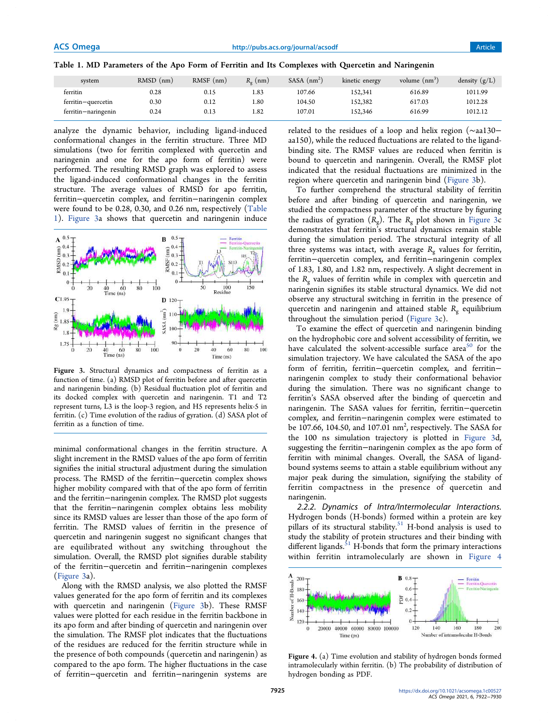| Table 1. MD Parameters of the Apo Form of Ferritin and Its Complexes with Ouercetin and Naringenin |  |  |  |
|----------------------------------------------------------------------------------------------------|--|--|--|
|----------------------------------------------------------------------------------------------------|--|--|--|

| system              | $RMSD$ (nm) | $RMSF$ (nm) | $R_{\alpha}$ (nm) | SASA $(nm^2)$ | kinetic energy | volume $(nm^3)$ | density $(g/L)$ |
|---------------------|-------------|-------------|-------------------|---------------|----------------|-----------------|-----------------|
| ferritin            | 0.28        | 0.15        | 1.83              | 107.66        | 152,341        | 616.89          | 1011.99         |
| ferritin-quercetin  | 0.30        | 0.12        | 1.80              | 104.50        | 152.382        | 617.03          | 1012.28         |
| ferritin-naringenin | 0.24        | 0.13        | 1.82              | 107.01        | 152,346        | 616.99          | 1012.12         |

analyze the dynamic behavior, including ligand-induced conformational changes in the ferritin structure. Three MD simulations (two for ferritin complexed with quercetin and naringenin and one for the apo form of ferritin) were performed. The resulting RMSD graph was explored to assess the ligand-induced conformational changes in the ferritin structure. The average values of RMSD for apo ferritin, ferritin−quercetin complex, and ferritin−naringenin complex were found to be 0.28, 0.30, and 0.26 nm, respectively (Table 1). Figure 3a shows that quercetin and naringenin induce



Figure 3. Structural dynamics and compactness of ferritin as a function of time. (a) RMSD plot of ferritin before and after quercetin and naringenin binding. (b) Residual fluctuation plot of ferritin and its docked complex with quercetin and naringenin. T1 and T2 represent turns, L3 is the loop-3 region, and H5 represents helix-5 in ferritin. (c) Time evolution of the radius of gyration. (d) SASA plot of ferritin as a function of time.

minimal conformational changes in the ferritin structure. A slight increment in the RMSD values of the apo form of ferritin signifies the initial structural adjustment during the simulation process. The RMSD of the ferritin−quercetin complex shows higher mobility compared with that of the apo form of ferritin and the ferritin−naringenin complex. The RMSD plot suggests that the ferritin−naringenin complex obtains less mobility since its RMSD values are lesser than those of the apo form of ferritin. The RMSD values of ferritin in the presence of quercetin and naringenin suggest no significant changes that are equilibrated without any switching throughout the simulation. Overall, the RMSD plot signifies durable stability of the ferritin−quercetin and ferritin−naringenin complexes (Figure 3a).

Along with the RMSD analysis, we also plotted the RMSF values generated for the apo form of ferritin and its complexes with quercetin and naringenin (Figure 3b). These RMSF values were plotted for each residue in the ferritin backbone in its apo form and after binding of quercetin and naringenin over the simulation. The RMSF plot indicates that the fluctuations of the residues are reduced for the ferritin structure while in the presence of both compounds (quercetin and naringenin) as compared to the apo form. The higher fluctuations in the case of ferritin−quercetin and ferritin−naringenin systems are related to the residues of a loop and helix region (∼aa130− aa150), while the reduced fluctuations are related to the ligandbinding site. The RMSF values are reduced when ferritin is bound to quercetin and naringenin. Overall, the RMSF plot indicated that the residual fluctuations are minimized in the region where quercetin and naringenin bind (Figure 3b).

To further comprehend the structural stability of ferritin before and after binding of quercetin and naringenin, we studied the compactness parameter of the structure by figuring the radius of gyration (*R*<sup>g</sup> ). The *R*<sup>g</sup> plot shown in Figure 3c demonstrates that ferritin's structural dynamics remain stable during the simulation period. The structural integrity of all three systems was intact, with average  $R_g$  values for ferritin, ferritin−quercetin complex, and ferritin−naringenin complex of 1.83, 1.80, and 1.82 nm, respectively. A slight decrement in the  $R_{g}$  values of ferritin while in complex with quercetin and naringenin signifies its stable structural dynamics. We did not observe any structural switching in ferritin in the presence of quercetin and naringenin and attained stable  $R_{\varphi}$  equilibrium throughout the simulation period (Figure 3c).

To examine the effect of quercetin and naringenin binding on the hydrophobic core and solvent accessibility of ferritin, we have calculated the solvent-accessible surface area $50$  for the simulation trajectory. We have calculated the SASA of the apo form of ferritin, ferritin−quercetin complex, and ferritin− naringenin complex to study their conformational behavior during the simulation. There was no significant change to ferritin's SASA observed after the binding of quercetin and naringenin. The SASA values for ferritin, ferritin−quercetin complex, and ferritin−naringenin complex were estimated to be 107.66, 104.50, and 107.01  $\text{nm}^2$ , respectively. The SASA for the 100 ns simulation trajectory is plotted in Figure 3d, suggesting the ferritin−naringenin complex as the apo form of ferritin with minimal changes. Overall, the SASA of ligandbound systems seems to attain a stable equilibrium without any major peak during the simulation, signifying the stability of ferritin compactness in the presence of quercetin and naringenin.

2.2.2. Dynamics of Intra/Intermolecular Interactions. Hydrogen bonds (H-bonds) formed within a protein are key pillars of its structural stability. $51$  H-bond analysis is used to study the stability of protein structures and their binding with different ligands. $51$  H-bonds that form the primary interactions within ferritin intramolecularly are shown in Figure 4



Figure 4. (a) Time evolution and stability of hydrogen bonds formed intramolecularly within ferritin. (b) The probability of distribution of hydrogen bonding as PDF.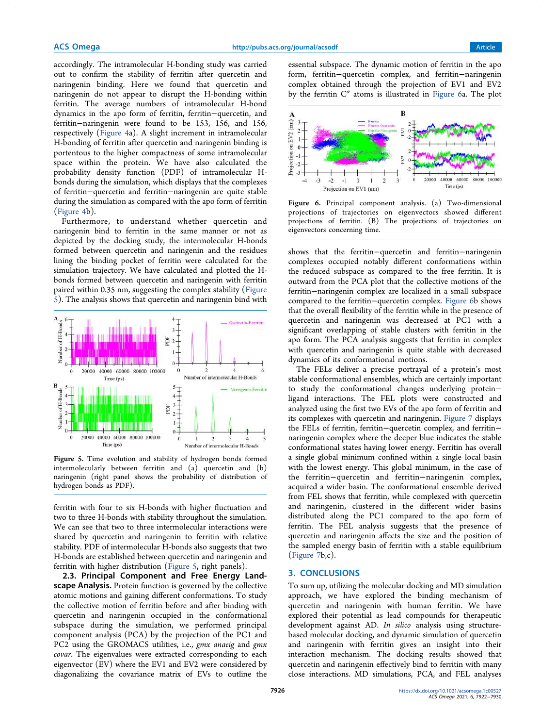accordingly. The intramolecular H-bonding study was carried out to confirm the stability of ferritin after quercetin and naringenin binding. Here we found that quercetin and naringenin do not appear to disrupt the H-bonding within ferritin. The average numbers of intramolecular H-bond dynamics in the apo form of ferritin, ferritin−quercetin, and ferritin−naringenin were found to be 153, 156, and 156, respectively (Figure 4a). A slight increment in intramolecular H-bonding of ferritin after quercetin and naringenin binding is portentous to the higher compactness of some intramolecular space within the protein. We have also calculated the probability density function (PDF) of intramolecular Hbonds during the simulation, which displays that the complexes of ferritin−quercetin and ferritin−naringenin are quite stable during the simulation as compared with the apo form of ferritin (Figure 4b).

Furthermore, to understand whether quercetin and naringenin bind to ferritin in the same manner or not as depicted by the docking study, the intermolecular H-bonds formed between quercetin and naringenin and the residues lining the binding pocket of ferritin were calculated for the simulation trajectory. We have calculated and plotted the Hbonds formed between quercetin and naringenin with ferritin paired within 0.35 nm, suggesting the complex stability (Figure 5). The analysis shows that quercetin and naringenin bind with



Figure 5. Time evolution and stability of hydrogen bonds formed intermolecularly between ferritin and (a) quercetin and (b) naringenin (right panel shows the probability of distribution of hydrogen bonds as PDF).

ferritin with four to six H-bonds with higher fluctuation and two to three H-bonds with stability throughout the simulation. We can see that two to three intermolecular interactions were shared by quercetin and naringenin to ferritin with relative stability. PDF of intermolecular H-bonds also suggests that two H-bonds are established between quercetin and naringenin and ferritin with higher distribution (Figure 5, right panels).

2.3. Principal Component and Free Energy Landscape Analysis. Protein function is governed by the collective atomic motions and gaining different conformations. To study the collective motion of ferritin before and after binding with quercetin and naringenin occupied in the conformational subspace during the simulation, we performed principal component analysis (PCA) by the projection of the PC1 and PC2 using the GROMACS utilities, i.e., *gmx anaeig* and *gmx covar*. The eigenvalues were extracted corresponding to each eigenvector (EV) where the EV1 and EV2 were considered by diagonalizing the covariance matrix of EVs to outline the

essential subspace. The dynamic motion of ferritin in the apo form, ferritin−quercetin complex, and ferritin−naringenin complex obtained through the projection of EV1 and EV2 by the ferritin  $C^{\alpha}$  atoms is illustrated in Figure 6a. The plot



Figure 6. Principal component analysis. (a) Two-dimensional projections of trajectories on eigenvectors showed different projections of ferritin. (B) The projections of trajectories on eigenvectors concerning time.

shows that the ferritin−quercetin and ferritin−naringenin complexes occupied notably different conformations within the reduced subspace as compared to the free ferritin. It is outward from the PCA plot that the collective motions of the ferritin−naringenin complex are localized in a small subspace compared to the ferritin−quercetin complex. Figure 6b shows that the overall flexibility of the ferritin while in the presence of quercetin and naringenin was decreased at PC1 with a significant overlapping of stable clusters with ferritin in the apo form. The PCA analysis suggests that ferritin in complex with quercetin and naringenin is quite stable with decreased dynamics of its conformational motions.

The FELs deliver a precise portrayal of a protein's most stable conformational ensembles, which are certainly important to study the conformational changes underlying protein− ligand interactions. The FEL plots were constructed and analyzed using the first two EVs of the apo form of ferritin and its complexes with quercetin and naringenin. Figure 7 displays the FELs of ferritin, ferritin−quercetin complex, and ferritin− naringenin complex where the deeper blue indicates the stable conformational states having lower energy. Ferritin has overall a single global minimum confined within a single local basin with the lowest energy. This global minimum, in the case of the ferritin−quercetin and ferritin−naringenin complex, acquired a wider basin. The conformational ensemble derived from FEL shows that ferritin, while complexed with quercetin and naringenin, clustered in the different wider basins distributed along the PC1 compared to the apo form of ferritin. The FEL analysis suggests that the presence of quercetin and naringenin affects the size and the position of the sampled energy basin of ferritin with a stable equilibrium (Figure 7b,c).

## 3. CONCLUSIONS

To sum up, utilizing the molecular docking and MD simulation approach, we have explored the binding mechanism of quercetin and naringenin with human ferritin. We have explored their potential as lead compounds for therapeutic development against AD. *In silico* analysis using structurebased molecular docking, and dynamic simulation of quercetin and naringenin with ferritin gives an insight into their interaction mechanism. The docking results showed that quercetin and naringenin effectively bind to ferritin with many close interactions. MD simulations, PCA, and FEL analyses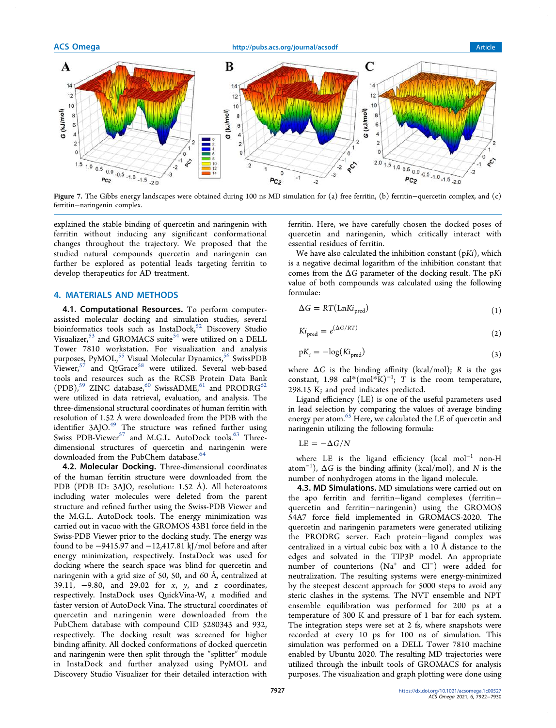

Figure 7. The Gibbs energy landscapes were obtained during 100 ns MD simulation for (a) free ferritin, (b) ferritin−quercetin complex, and (c) ferritin−naringenin complex.

explained the stable binding of quercetin and naringenin with ferritin without inducing any significant conformational changes throughout the trajectory. We proposed that the studied natural compounds quercetin and naringenin can further be explored as potential leads targeting ferritin to develop therapeutics for AD treatment.

### 4. MATERIALS AND METHODS

4.1. Computational Resources. To perform computerassisted molecular docking and simulation studies, several bioinformatics tools such as InstaDock,<sup>52</sup> Discovery Studio Visualizer,  $^{53}$  and GROMACS suite  $^{54}$  were utilized on a DELL Tower 7810 workstation. For visualization and analysis purposes, PyMOL,<sup>55</sup> Visual Molecular Dynamics,<sup>56</sup> SwissPDB  $\overline{\text{V}}$ iewer, $^{57}$  and QtGrace $^{58}$  were utilized. Several web-based tools and resources such as the RCSB Protein Data Bank (PDB),<sup>59</sup> ZINC database,<sup>60</sup> SwissADME,<sup>61</sup> and PRODRG<sup>62</sup> were utilized in data retrieval, evaluation, and analysis. The three-dimensional structural coordinates of human ferritin with resolution of 1.52 Å were downloaded from the PDB with the identifier 3AJO.<sup>49</sup> The structure was refined further using Swiss PDB-Viewer $^{57}$  and M.G.L. AutoDock tools. $^{63}$  Threedimensional structures of quercetin and naringenin were downloaded from the PubChem database.<sup>64</sup>

4.2. Molecular Docking. Three-dimensional coordinates of the human ferritin structure were downloaded from the PDB (PDB ID: 3AJO, resolution: 1.52 Å). All heteroatoms including water molecules were deleted from the parent structure and refined further using the Swiss-PDB Viewer and the M.G.L. AutoDock tools. The energy minimization was carried out in vacuo with the GROMOS 43B1 force field in the Swiss-PDB Viewer prior to the docking study. The energy was found to be −9415.97 and −12,417.81 kJ/mol before and after energy minimization, respectively. InstaDock was used for docking where the search space was blind for quercetin and naringenin with a grid size of 50, 50, and 60 Å, centralized at 39.11, −9.80, and 29.02 for *x*, *y*, and *z* coordinates, respectively. InstaDock uses QuickVina-W, a modified and faster version of AutoDock Vina. The structural coordinates of quercetin and naringenin were downloaded from the PubChem database with compound CID 5280343 and 932, respectively. The docking result was screened for higher binding affinity. All docked conformations of docked quercetin and naringenin were then split through the ″splitter″ module in InstaDock and further analyzed using PyMOL and Discovery Studio Visualizer for their detailed interaction with

ferritin. Here, we have carefully chosen the docked poses of quercetin and naringenin, which critically interact with essential residues of ferritin.

We have also calculated the inhibition constant (p*Ki*), which is a negative decimal logarithm of the inhibition constant that comes from the Δ*G* parameter of the docking result. The p*Ki* value of both compounds was calculated using the following formulae:

$$
\Delta G = RT(\text{Ln}Ki_{\text{pred}})
$$
\n(1)

$$
Ki_{\text{pred}} = e^{(\Delta G/RT)} \tag{2}
$$

$$
pK_i = -\log(Ki_{\text{pred}})
$$
\n(3)

where Δ*G* is the binding affinity (kcal/mol); *R* is the gas constant, 1.98 cal<sup>\*</sup>(mol<sup>\*</sup>K)<sup>-1</sup>; *T* is the room temperature, 298.15 K; and pred indicates predicted.

Ligand efficiency (LE) is one of the useful parameters used in lead selection by comparing the values of average binding energy per atom.<sup>65</sup> Here, we calculated the LE of quercetin and naringenin utilizing the following formula:

 $LE = -\Delta G/N$ 

where LE is the ligand efficiency (kcal mol<sup>-1</sup> non-H atom<sup>−</sup><sup>1</sup> ), Δ*G* is the binding affinity (kcal/mol), and *N* is the number of nonhydrogen atoms in the ligand molecule.

4.3. MD Simulations. MD simulations were carried out on the apo ferritin and ferritin−ligand complexes (ferritin− quercetin and ferritin−naringenin) using the GROMOS 54A7 force field implemented in GROMACS-2020. The quercetin and naringenin parameters were generated utilizing the PRODRG server. Each protein−ligand complex was centralized in a virtual cubic box with a 10 Å distance to the edges and solvated in the TIP3P model. An appropriate number of counterions (Na<sup>+</sup> and Cl<sup>−</sup>) were added for neutralization. The resulting systems were energy-minimized by the steepest descent approach for 5000 steps to avoid any steric clashes in the systems. The NVT ensemble and NPT ensemble equilibration was performed for 200 ps at a temperature of 300 K and pressure of 1 bar for each system. The integration steps were set at 2 fs, where snapshots were recorded at every 10 ps for 100 ns of simulation. This simulation was performed on a DELL Tower 7810 machine enabled by Ubuntu 2020. The resulting MD trajectories were utilized through the inbuilt tools of GROMACS for analysis purposes. The visualization and graph plotting were done using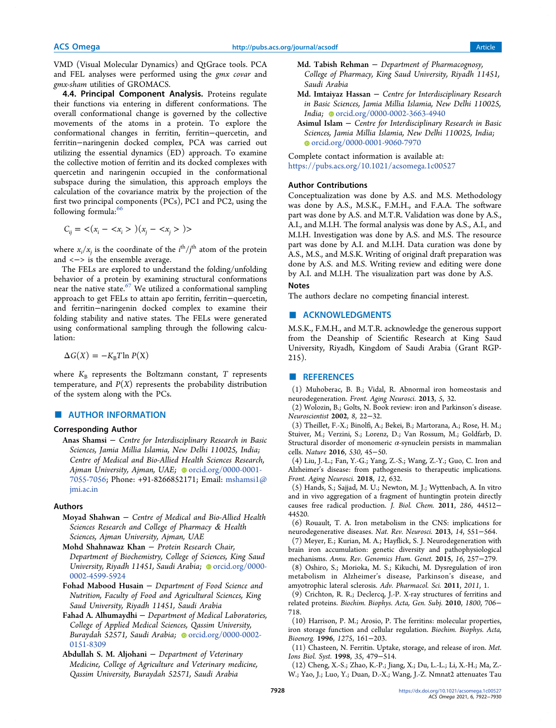VMD (Visual Molecular Dynamics) and QtGrace tools. PCA and FEL analyses were performed using the *gmx covar* and *gmx-sham* utilities of GROMACS.

4.4. Principal Component Analysis. Proteins regulate their functions via entering in different conformations. The overall conformational change is governed by the collective movements of the atoms in a protein. To explore the conformational changes in ferritin, ferritin−quercetin, and ferritin−naringenin docked complex, PCA was carried out utilizing the essential dynamics  $(ED)$  approach. To examine the collective motion of ferritin and its docked complexes with quercetin and naringenin occupied in the conformational subspace during the simulation, this approach employs the calculation of the covariance matrix by the projection of the first two principal components (PCs), PC1 and PC2, using the following formula:<sup>66</sup>

$$
C_{ij} = \langle (x_i - \langle x_i \rangle)(x_j - \langle x_j \rangle) \rangle
$$

where  $x_i/x_j$  is the coordinate of the  $i^{\text{th}}/j^{\text{th}}$  atom of the protein and <-> is the ensemble average.

The FELs are explored to understand the folding/unfolding behavior of a protein by examining structural conformations near the native state. $67$  We utilized a conformational sampling approach to get FELs to attain apo ferritin, ferritin−quercetin, and ferritin−naringenin docked complex to examine their folding stability and native states. The FELs were generated using conformational sampling through the following calculation:

$$
\Delta G(X) = -K_{\rm B}T \ln P(X)
$$

where  $K_B$  represents the Boltzmann constant, *T* represents temperature, and  $P(X)$  represents the probability distribution of the system along with the PCs.

## **E** AUTHOR INFORMATION

#### Corresponding Author

Anas Shamsi − *Centre for Interdisciplinary Research in Basic Sciences, Jamia Millia Islamia, New Delhi 110025, India; Centre of Medical and Bio-Allied Health Sciences Research, Ajman University, Ajman, UAE;* orcid.org/0000-0001-7055-7056; Phone: +91-8266852171; Email: mshamsi1@ jmi.ac.in

#### Authors

- Moyad Shahwan − *Centre of Medical and Bio-Allied Health Sciences Research and College of Pharmacy* & *Health Sciences, Ajman University, Ajman, UAE*
- Mohd Shahnawaz Khan − *Protein Research Chair, Department of Biochemistry, College of Sciences, King Saud University, Riyadh 11451, Saudi Arabia;* Orcid.org/0000-0002-4599-5924
- Fohad Mabood Husain − *Department of Food Science and Nutrition, Faculty of Food and Agricultural Sciences, King Saud University, Riyadh 11451, Saudi Arabia*
- Fahad A. Alhumaydhi − *Department of Medical Laboratories, College of Applied Medical Sciences, Qassim University,* Buraydah 52571, Saudi Arabia; orcid.org/0000-0002-0151-8309

Abdullah S. M. Aljohani − *Department of Veterinary Medicine, College of Agriculture and Veterinary medicine, Qassim University, Buraydah 52571, Saudi Arabia*

- Md. Tabish Rehman − *Department of Pharmacognosy, College of Pharmacy, King Saud University, Riyadh 11451, Saudi Arabia*
- Md. Imtaiyaz Hassan − *Centre for Interdisciplinary Research in Basic Sciences, Jamia Millia Islamia, New Delhi 110025, India*; orcid.org/0000-0002-3663-4940
- Asimul Islam − *Centre for Interdisciplinary Research in Basic Sciences, Jamia Millia Islamia, New Delhi 110025, India;* orcid.org/0000-0001-9060-7970

Complete contact information is available at: https://pubs.acs.org/10.1021/acsomega.1c00527

#### Author Contributions

Conceptualization was done by A.S. and M.S. Methodology was done by A.S., M.S.K., F.M.H., and F.A.A. The software part was done by A.S. and M.T.R. Validation was done by A.S., A.I., and M.I.H. The formal analysis was done by A.S., A.I., and M.I.H. Investigation was done by A.S. and M.S. The resource part was done by A.I. and M.I.H. Data curation was done by A.S., M.S., and M.S.K. Writing of original draft preparation was done by A.S. and M.S. Writing review and editing were done by A.I. and M.I.H. The visualization part was done by A.S.

## Notes

The authors declare no competing financial interest.

#### ■ ACKNOWLEDGMENTS

M.S.K., F.M.H., and M.T.R. acknowledge the generous support from the Deanship of Scientific Research at King Saud University, Riyadh, Kingdom of Saudi Arabia (Grant RGP-215).

### ■ REFERENCES

(1) Muhoberac, B. B.; Vidal, R. Abnormal iron homeostasis and neurodegeneration. *Front. Aging Neurosci.* 2013, *5*, 32.

(2) Wolozin, B.; Golts, N. Book review: iron and Parkinson's disease. *Neuroscientist* 2002, *8*, 22−32.

(3) Theillet, F.-X.; Binolfi, A.; Bekei, B.; Martorana, A.; Rose, H. M.; Stuiver, M.; Verzini, S.; Lorenz, D.; Van Rossum, M.; Goldfarb, D. Structural disorder of monomeric  $\alpha$ -synuclein persists in mammalian cells. *Nature* 2016, *530*, 45−50.

(4) Liu, J.-L.; Fan, Y.-G.; Yang, Z.-S.; Wang, Z.-Y.; Guo, C. Iron and Alzheimer's disease: from pathogenesis to therapeutic implications. *Front. Aging Neurosci.* 2018, *12*, 632.

(5) Hands, S.; Sajjad, M. U.; Newton, M. J.; Wyttenbach, A. In vitro and in vivo aggregation of a fragment of huntingtin protein directly causes free radical production. *J. Biol. Chem.* 2011, *286*, 44512− 44520.

(6) Rouault, T. A. Iron metabolism in the CNS: implications for neurodegenerative diseases. *Nat. Rev. Neurosci.* 2013, *14*, 551−564.

(7) Meyer, E.; Kurian, M. A.; Hayflick, S. J. Neurodegeneration with brain iron accumulation: genetic diversity and pathophysiological mechanisms. *Annu. Rev. Genomics Hum. Genet.* 2015, *16*, 257−279.

(8) Oshiro, S.; Morioka, M. S.; Kikuchi, M. Dysregulation of iron metabolism in Alzheimer's disease, Parkinson's disease, and amyotrophic lateral sclerosis. *Adv. Pharmacol. Sci.* 2011, *2011*, 1.

(9) Crichton, R. R.; Declercq, J.-P. X-ray structures of ferritins and related proteins. *Biochim. Biophys. Acta, Gen. Subj.* 2010, *1800*, 706− 718.

(10) Harrison, P. M.; Arosio, P. The ferritins: molecular properties, iron storage function and cellular regulation. *Biochim. Biophys. Acta, Bioenerg.* 1996, *1275*, 161−203.

(11) Chasteen, N. Ferritin. Uptake, storage, and release of iron. *Met. Ions Biol. Syst.* 1998, *35*, 479−514.

(12) Cheng, X.-S.; Zhao, K.-P.; Jiang, X.; Du, L.-L.; Li, X.-H.; Ma, Z.- W.; Yao, J.; Luo, Y.; Duan, D.-X.; Wang, J.-Z. Nmnat2 attenuates Tau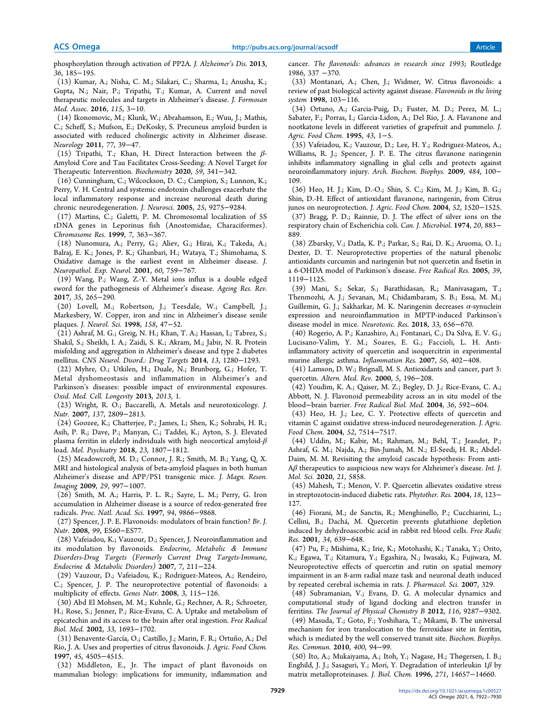phosphorylation through activation of PP2A. *J. Alzheimer*'*s Dis.* 2013, *36*, 185−195.

(13) Kumar, A.; Nisha, C. M.; Silakari, C.; Sharma, I.; Anusha, K.; Gupta, N.; Nair, P.; Tripathi, T.; Kumar, A. Current and novel therapeutic molecules and targets in Alzheimer's disease. *J. Formosan Med. Assoc.* 2016, *115*, 3−10.

(14) Ikonomovic, M.; Klunk, W.; Abrahamson, E.; Wuu, J.; Mathis, C.; Scheff, S.; Mufson, E.; DeKosky, S. Precuneus amyloid burden is associated with reduced cholinergic activity in Alzheimer disease. *Neurology* 2011, *77*, 39−47.

(15) Tripathi, T.; Khan, H. Direct Interaction between the  $\beta$ -Amyloid Core and Tau Facilitates Cross-Seeding: A Novel Target for Therapeutic Intervention. *Biochemistry* 2020, *59*, 341−342.

(16) Cunningham, C.; Wilcockson, D. C.; Campion, S.; Lunnon, K.; Perry, V. H. Central and systemic endotoxin challenges exacerbate the local inflammatory response and increase neuronal death during chronic neurodegeneration. *J. Neurosci.* 2005, *25*, 9275−9284.

(17) Martins, C.; Galetti, P. M. Chromosomal localization of 5S rDNA genes in Leporinus fish (Anostomidae, Characiformes). *Chromosome Res.* 1999, *7*, 363−367.

(18) Nunomura, A.; Perry, G.; Aliev, G.; Hirai, K.; Takeda, A.; Balraj, E. K.; Jones, P. K.; Ghanbari, H.; Wataya, T.; Shimohama, S. Oxidative damage is the earliest event in Alzheimer disease. *J. Neuropathol. Exp. Neurol.* 2001, *60*, 759−767.

(19) Wang, P.; Wang, Z.-Y. Metal ions influx is a double edged sword for the pathogenesis of Alzheimer's disease. *Ageing Res. Rev.* 2017, *35*, 265−290.

(20) Lovell, M.; Robertson, J.; Teesdale, W.; Campbell, J.; Markesbery, W. Copper, iron and zinc in Alzheimer's disease senile plaques. *J. Neurol. Sci.* 1998, *158*, 47−52.

(21) Ashraf, M. G.; Greig, N. H.; Khan, T. A.; Hassan, I.; Tabrez, S.; Shakil, S.; Sheikh, I. A.; Zaidi, S. K.; Akram, M.; Jabir, N. R. Protein misfolding and aggregation in Alzheimer's disease and type 2 diabetes mellitus. *CNS Neurol. Disord.: Drug Targets* 2014, *13*, 1280−1293.

(22) Myhre, O.; Utkilen, H.; Duale, N.; Brunborg, G.; Hofer, T. Metal dyshomeostasis and inflammation in Alzheimer's and Parkinson's diseases: possible impact of environmental exposures. *Oxid. Med. Cell. Longevity* 2013, *2013*, 1.

(23) Wright, R. O.; Baccarelli, A. Metals and neurotoxicology. *J. Nutr.* 2007, *137*, 2809−2813.

(24) Goozee, K.; Chatterjee, P.; James, I.; Shen, K.; Sohrabi, H. R.; Asih, P. R.; Dave, P.; Manyan, C.; Taddei, K.; Ayton, S. J. Elevated plasma ferritin in elderly individuals with high neocortical amyloid- $\beta$ load. *Mol. Psychiatry* 2018, *23*, 1807−1812.

(25) Meadowcroft, M. D.; Connor, J. R.; Smith, M. B.; Yang, Q. X. MRI and histological analysis of beta-amyloid plaques in both human Alzheimer's disease and APP/PS1 transgenic mice. *J. Magn. Reson. Imaging* 2009, *29*, 997−1007.

(26) Smith, M. A.; Harris, P. L. R.; Sayre, L. M.; Perry, G. Iron accumulation in Alzheimer disease is a source of redox-generated free radicals. *Proc. Natl. Acad. Sci.* 1997, *94*, 9866−9868.

(27) Spencer, J. P. E. Flavonoids: modulators of brain function? *Br. J. Nutr.* 2008, *99*, ES60−ES77.

(28) Vafeiadou, K.; Vauzour, D.; Spencer, J. Neuroinflammation and its modulation by flavonoids. *Endocrine, Metabolic* & *Immune Disorders-Drug Targets (Formerly Current Drug Targets-Immune, Endocrine* & *Metabolic Disorders)* 2007, *7*, 211−224.

(29) Vauzour, D.; Vafeiadou, K.; Rodriguez-Mateos, A.; Rendeiro, C.; Spencer, J. P. The neuroprotective potential of flavonoids: a multiplicity of effects. *Genes Nutr.* 2008, *3*, 115−126.

(30) Abd El Mohsen, M. M.; Kuhnle, G.; Rechner, A. R.; Schroeter, H.; Rose, S.; Jenner, P.; Rice-Evans, C. A. Uptake and metabolism of epicatechin and its access to the brain after oral ingestion. *Free Radical Biol. Med.* 2002, *33*, 1693−1702.

(31) Benavente-García, O.; Castillo, J.; Marin, F. R.; Ortuño, A.; Del Río, J. A. Uses and properties of citrus flavonoids. *J. Agric. Food Chem.* 1997, *45*, 4505−4515.

(32) Middleton, E., Jr. The impact of plant flavonoids on mammalian biology: implications for immunity, inflammation and cancer. *The* fl*avonoids: advances in research since 1993*; Routledge 1986, 337 −370.

(33) Montanari, A.; Chen, J.; Widmer, W. Citrus flavonoids: a review of past biological activity against disease. *Flavonoids in the living system* 1998, 103−116.

(34) Ortuno, A.; Garcia-Puig, D.; Fuster, M. D.; Perez, M. L.; Sabater, F.; Porras, I.; Garcia-Lidon, A.; Del Rio, J. A. Flavanone and nootkatone levels in different varieties of grapefruit and pummelo. *J. Agric. Food Chem.* 1995, *43*, 1−5.

(35) Vafeiadou, K.; Vauzour, D.; Lee, H. Y.; Rodriguez-Mateos, A.; Williams, R. J.; Spencer, J. P. E. The citrus flavanone naringenin inhibits inflammatory signalling in glial cells and protects against neuroinflammatory injury. *Arch. Biochem. Biophys.* 2009, *484*, 100− 109.

(36) Heo, H. J.; Kim, D.-O.; Shin, S. C.; Kim, M. J.; Kim, B. G.; Shin, D.-H. Effect of antioxidant flavanone, naringenin, from Citrus junos on neuroprotection. *J. Agric. Food Chem.* 2004, *52*, 1520−1525.

(37) Bragg, P. D.; Rainnie, D. J. The effect of silver ions on the respiratory chain of Escherichia coli. *Can. J. Microbiol.* 1974, *20*, 883− 889.

(38) Zbarsky, V.; Datla, K. P.; Parkar, S.; Rai, D. K.; Aruoma, O. I.; Dexter, D. T. Neuroprotective properties of the natural phenolic antioxidants curcumin and naringenin but not quercetin and fisetin in a 6-OHDA model of Parkinson's disease. *Free Radical Res.* 2005, *39*, 1119−1125.

(39) Mani, S.; Sekar, S.; Barathidasan, R.; Manivasagam, T.; Thenmozhi, A. J.; Sevanan, M.; Chidambaram, S. B.; Essa, M. M.; Guillemin, G. J.; Sakharkar, M. K. Naringenin decreases  $\alpha$ -synuclein expression and neuroinflammation in MPTP-induced Parkinson's disease model in mice. *Neurotoxic. Res.* 2018, *33*, 656−670.

(40) Rogerio, A. P.; Kanashiro, A.; Fontanari, C.; Da Silva, E. V. G.; Lucisano-Valim, Y. M.; Soares, E. G.; Faccioli, L. H. Antiinflammatory activity of quercetin and isoquercitrin in experimental murine allergic asthma. *Inflammation Res.* 2007, *56*, 402−408.

(41) Lamson, D. W.; Brignall, M. S. Antioxidants and cancer, part 3: quercetin. *Altern. Med. Rev.* 2000, *5*, 196−208.

(42) Youdim, K. A.; Qaiser, M. Z.; Begley, D. J.; Rice-Evans, C. A.; Abbott, N. J. Flavonoid permeability across an in situ model of the blood−brain barrier. *Free Radical Biol. Med.* 2004, *36*, 592−604.

(43) Heo, H. J.; Lee, C. Y. Protective effects of quercetin and vitamin C against oxidative stress-induced neurodegeneration. *J. Agric. Food Chem.* 2004, *52*, 7514−7517.

(44) Uddin, M.; Kabir, M.; Rahman, M.; Behl, T.; Jeandet, P.; Ashraf, G. M.; Najda, A.; Bin-Jumah, M. N.; El-Seedi, H. R.; Abdel-Daim, M. M. Revisiting the amyloid cascade hypothesis: From anti-Aβ therapeutics to auspicious new ways for Alzheimer's disease. *Int. J. Mol. Sci.* 2020, *21*, 5858.

(45) Mahesh, T.; Menon, V. P. Quercetin allievates oxidative stress in streptozotocin-induced diabetic rats. *Phytother. Res.* 2004, *18*, 123− 127.

(46) Fiorani, M.; de Sanctis, R.; Menghinello, P.; Cucchiarini, L.; Cellini, B.; Dachá, M. Quercetin prevents glutathione depletion induced by dehydroascorbic acid in rabbit red blood cells. *Free Radic Res.* 2001, *34*, 639−648.

(47) Pu, F.; Mishima, K.; Irie, K.; Motohashi, K.; Tanaka, Y.; Orito, K.; Egawa, T.; Kitamura, Y.; Egashira, N.; Iwasaki, K.; Fujiwara, M. Neuroprotective effects of quercetin and rutin on spatial memory impairment in an 8-arm radial maze task and neuronal death induced by repeated cerebral ischemia in rats. *J. Pharmacol. Sci.* 2007, 329.

(48) Subramanian, V.; Evans, D. G. A molecular dynamics and computational study of ligand docking and electron transfer in ferritins. *The Journal of Physical Chemistry B* 2012, *116*, 9287−9302.

(49) Masuda, T.; Goto, F.; Yoshihara, T.; Mikami, B. The universal mechanism for iron translocation to the ferroxidase site in ferritin, which is mediated by the well conserved transit site. *Biochem. Biophys. Res. Commun.* 2010, *400*, 94−99.

(50) Ito, A.; Mukaiyama, A.; Itoh, Y.; Nagase, H.; Thøgersen, I. B.; Enghild, J. J.; Sasaguri, Y.; Mori, Y. Degradation of interleukin 1β by matrix metalloproteinases. *J. Biol. Chem.* 1996, *271*, 14657−14660.